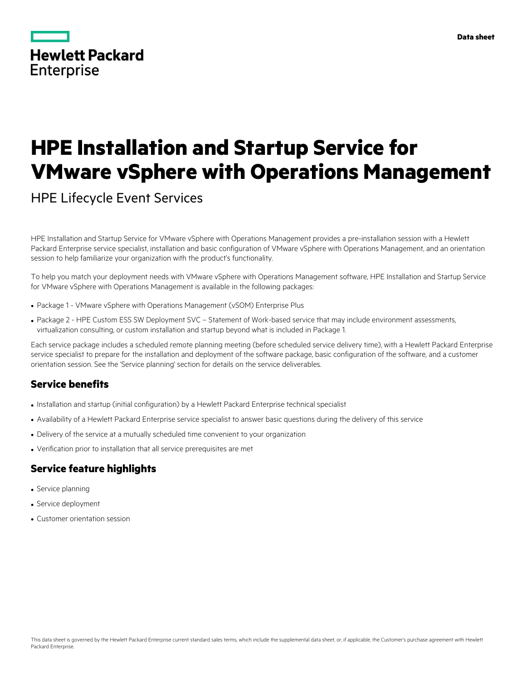|            | <b>Hewlett Packard</b> |
|------------|------------------------|
| Enterprise |                        |

# **HPE Installation and Startup Service for VMware vSphere with Operations Management**

HPE Lifecycle Event Services

HPE Installation and Startup Service for VMware vSphere with Operations Management provides a pre-installation session with a Hewlett Packard Enterprise service specialist, installation and basic configuration of VMware vSphere with Operations Management, and an orientation session to help familiarize your organization with the product's functionality.

To help you match your deployment needs with VMware vSphere with Operations Management software, HPE Installation and Startup Service for VMware vSphere with Operations Management is available in the following packages:

- Package 1 VMware vSphere with Operations Management (vSOM) Enterprise Plus
- Package 2 HPE Custom ESS SW Deployment SVC Statement of Work-based service that may include environment assessments, virtualization consulting, or custom installation and startup beyond what is included in Package 1.

Each service package includes a scheduled remote planning meeting (before scheduled service delivery time), with a Hewlett Packard Enterprise service specialist to prepare for the installation and deployment of the software package, basic configuration of the software, and a customer orientation session. See the 'Service planning' section for details on the service deliverables.

## **Service benefits**

- Installation and startup (initial configuration) by a Hewlett Packard Enterprise technical specialist
- Availability of a Hewlett Packard Enterprise service specialist to answer basic questions during the delivery of this service
- Delivery of the service at a mutually scheduled time convenient to your organization
- Verification prior to installation that all service prerequisites are met

### **Service feature highlights**

- Service planning
- Service deployment
- Customer orientation session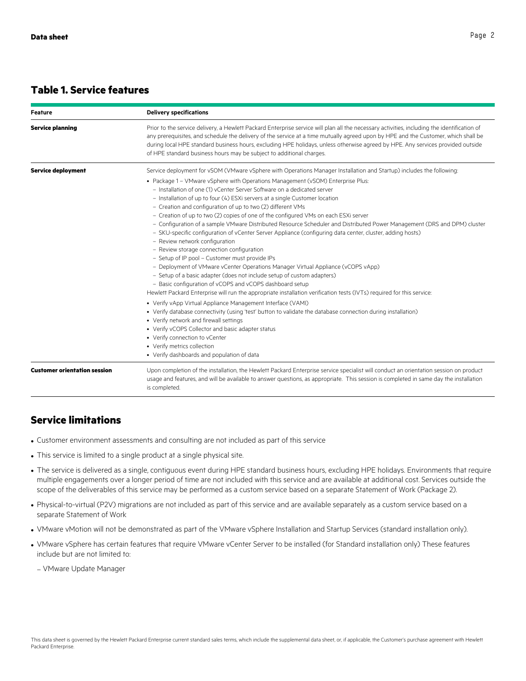#### **Table 1. Service features**

| <b>Feature</b>                      | <b>Delivery specifications</b>                                                                                                                                                                                                                                                                                                                                                                                                                                                                                                                                                                                                                                                                                                                                                                                                                                                                                                                                                                                                                                                                                                                                                                                                                                                                                                                                                                                                                                              |
|-------------------------------------|-----------------------------------------------------------------------------------------------------------------------------------------------------------------------------------------------------------------------------------------------------------------------------------------------------------------------------------------------------------------------------------------------------------------------------------------------------------------------------------------------------------------------------------------------------------------------------------------------------------------------------------------------------------------------------------------------------------------------------------------------------------------------------------------------------------------------------------------------------------------------------------------------------------------------------------------------------------------------------------------------------------------------------------------------------------------------------------------------------------------------------------------------------------------------------------------------------------------------------------------------------------------------------------------------------------------------------------------------------------------------------------------------------------------------------------------------------------------------------|
| <b>Service planning</b>             | Prior to the service delivery, a Hewlett Packard Enterprise service will plan all the necessary activities, including the identification of<br>any prerequisites, and schedule the delivery of the service at a time mutually agreed upon by HPE and the Customer, which shall be<br>during local HPE standard business hours, excluding HPE holidays, unless otherwise agreed by HPE. Any services provided outside<br>of HPE standard business hours may be subject to additional charges.                                                                                                                                                                                                                                                                                                                                                                                                                                                                                                                                                                                                                                                                                                                                                                                                                                                                                                                                                                                |
| <b>Service deployment</b>           | Service deployment for vSOM (VMware vSphere with Operations Manager Installation and Startup) includes the following:                                                                                                                                                                                                                                                                                                                                                                                                                                                                                                                                                                                                                                                                                                                                                                                                                                                                                                                                                                                                                                                                                                                                                                                                                                                                                                                                                       |
|                                     | • Package 1 - VMware vSphere with Operations Management (vSOM) Enterprise Plus:<br>- Installation of one (1) yCenter Server Software on a dedicated server<br>- Installation of up to four (4) ESXi servers at a single Customer location<br>- Creation and configuration of up to two (2) different VMs<br>- Creation of up to two (2) copies of one of the configured VMs on each ESXi server<br>- Configuration of a sample VMware Distributed Resource Scheduler and Distributed Power Management (DRS and DPM) cluster<br>- SKU-specific configuration of vCenter Server Appliance (configuring data center, cluster, adding hosts)<br>- Review network configuration<br>- Review storage connection configuration<br>- Setup of IP pool - Customer must provide IPs<br>- Deployment of VMware vCenter Operations Manager Virtual Appliance (vCOPS vApp)<br>- Setup of a basic adapter (does not include setup of custom adapters)<br>- Basic configuration of vCOPS and vCOPS dashboard setup<br>Hewlett Packard Enterprise will run the appropriate installation verification tests (IVTs) required for this service:<br>• Verify vApp Virtual Appliance Management Interface (VAMI)<br>• Verify database connectivity (using 'test' button to validate the database connection during installation)<br>• Verify network and firewall settings<br>• Verify vCOPS Collector and basic adapter status<br>• Verify connection to vCenter<br>• Verify metrics collection |
|                                     | • Verify dashboards and population of data                                                                                                                                                                                                                                                                                                                                                                                                                                                                                                                                                                                                                                                                                                                                                                                                                                                                                                                                                                                                                                                                                                                                                                                                                                                                                                                                                                                                                                  |
| <b>Customer orientation session</b> | Upon completion of the installation, the Hewlett Packard Enterprise service specialist will conduct an orientation session on product<br>usage and features, and will be available to answer questions, as appropriate. This session is completed in same day the installation<br>is completed.                                                                                                                                                                                                                                                                                                                                                                                                                                                                                                                                                                                                                                                                                                                                                                                                                                                                                                                                                                                                                                                                                                                                                                             |

## **Service limitations**

- Customer environment assessments and consulting are not included as part of this service
- This service is limited to a single product at a single physical site.
- The service is delivered as a single, contiguous event during HPE standard business hours, excluding HPE holidays. Environments that require multiple engagements over a longer period of time are not included with this service and are available at additional cost. Services outside the scope of the deliverables of this service may be performed as a custom service based on a separate Statement of Work (Package 2).
- Physical-to-virtual (P2V) migrations are not included as part of this service and are available separately as a custom service based on a separate Statement of Work
- VMware vMotion will not be demonstrated as part of the VMware vSphere Installation and Startup Services (standard installation only).
- VMware vSphere has certain features that require VMware vCenter Server to be installed (for Standard installation only) These features include but are not limited to:
	- VMware Update Manager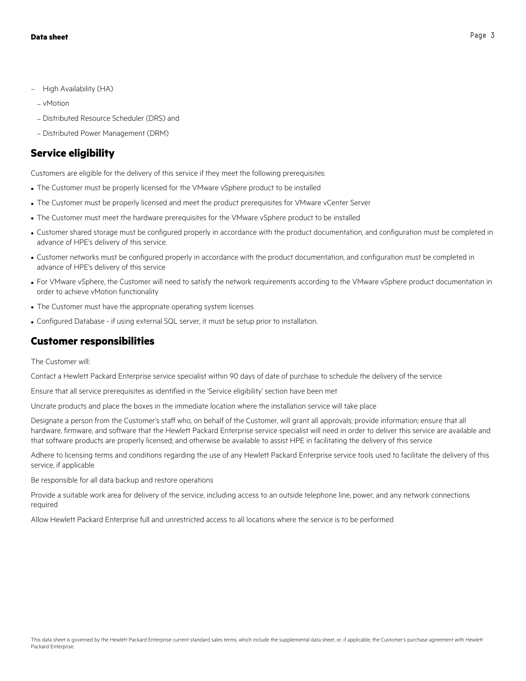- High Availability (HA)
- vMotion
- Distributed Resource Scheduler (DRS) and
- Distributed Power Management (DRM)

#### **Service eligibility**

Customers are eligible for the delivery of this service if they meet the following prerequisites:

- The Customer must be properly licensed for the VMware vSphere product to be installed
- The Customer must be properly licensed and meet the product prerequisites for VMware vCenter Server
- The Customer must meet the hardware prerequisites for the VMware vSphere product to be installed
- Customer shared storage must be configured properly in accordance with the product documentation, and configuration must be completed in advance of HPE's delivery of this service.
- Customer networks must be configured properly in accordance with the product documentation, and configuration must be completed in advance of HPE's delivery of this service
- For VMware vSphere, the Customer will need to satisfy the network requirements according to the VMware vSphere product documentation in order to achieve vMotion functionality
- The Customer must have the appropriate operating system licenses
- Configured Database if using external SQL server, it must be setup prior to installation.

#### **Customer responsibilities**

The Customer will:

Contact a Hewlett Packard Enterprise service specialist within 90 days of date of purchase to schedule the delivery of the service

Ensure that all service prerequisites as identified in the 'Service eligibility' section have been met

Uncrate products and place the boxes in the immediate location where the installation service will take place

Designate a person from the Customer's staff who, on behalf of the Customer, will grant all approvals; provide information; ensure that all hardware, firmware, and software that the Hewlett Packard Enterprise service specialist will need in order to deliver this service are available and that software products are properly licensed; and otherwise be available to assist HPE in facilitating the delivery of this service

Adhere to licensing terms and conditions regarding the use of any Hewlett Packard Enterprise service tools used to facilitate the delivery of this service, if applicable

Be responsible for all data backup and restore operations

Provide a suitable work area for delivery of the service, including access to an outside telephone line, power, and any network connections required

Allow Hewlett Packard Enterprise full and unrestricted access to all locations where the service is to be performed